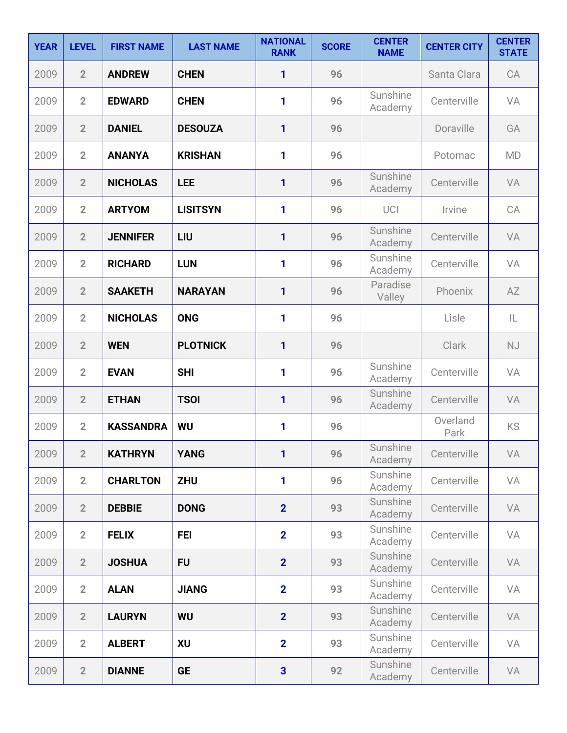| <b>YEAR</b> | <b>LEVEL</b>   | <b>FIRST NAME</b> | <b>LAST NAME</b> | <b>NATIONAL</b><br><b>RANK</b> | <b>SCORE</b> | <b>CENTER</b><br><b>NAME</b> | <b>CENTER CITY</b> | <b>CENTER</b><br><b>STATE</b> |
|-------------|----------------|-------------------|------------------|--------------------------------|--------------|------------------------------|--------------------|-------------------------------|
| 2009        | $\overline{2}$ | <b>ANDREW</b>     | <b>CHEN</b>      | 1                              | 96           |                              | Santa Clara        | CA                            |
| 2009        | $\overline{2}$ | <b>EDWARD</b>     | <b>CHEN</b>      | 1                              | 96           | Sunshine<br>Academy          | Centerville        | VA                            |
| 2009        | $\overline{2}$ | <b>DANIEL</b>     | <b>DESOUZA</b>   | 1                              | 96           |                              | Doraville          | GA                            |
| 2009        | $\overline{2}$ | <b>ANANYA</b>     | <b>KRISHAN</b>   | 1                              | 96           |                              | Potomac            | <b>MD</b>                     |
| 2009        | $\overline{2}$ | <b>NICHOLAS</b>   | <b>LEE</b>       | 1                              | 96           | Sunshine<br>Academy          | Centerville        | VA                            |
| 2009        | $\overline{2}$ | <b>ARTYOM</b>     | <b>LISITSYN</b>  | 1                              | 96           | UCI                          | Irvine             | CA                            |
| 2009        | $\overline{2}$ | <b>JENNIFER</b>   | LIU              | 1                              | 96           | Sunshine<br>Academy          | Centerville        | VA                            |
| 2009        | $\overline{2}$ | <b>RICHARD</b>    | <b>LUN</b>       | 1                              | 96           | Sunshine<br>Academy          | Centerville        | VA                            |
| 2009        | $\overline{2}$ | <b>SAAKETH</b>    | <b>NARAYAN</b>   | 1                              | 96           | Paradise<br>Valley           | Phoenix            | AZ                            |
| 2009        | $\overline{2}$ | <b>NICHOLAS</b>   | <b>ONG</b>       | 1                              | 96           |                              | Lisle              | IL                            |
| 2009        | $\overline{2}$ | <b>WEN</b>        | <b>PLOTNICK</b>  | 1                              | 96           |                              | Clark              | <b>NJ</b>                     |
| 2009        | $\overline{2}$ | <b>EVAN</b>       | <b>SHI</b>       | 1                              | 96           | Sunshine<br>Academy          | Centerville        | VA                            |
| 2009        | $\overline{2}$ | <b>ETHAN</b>      | <b>TSOI</b>      | 1                              | 96           | Sunshine<br>Academy          | Centerville        | VA                            |
| 2009        | $\overline{2}$ | <b>KASSANDRA</b>  | WU               | 1                              | 96           |                              | Overland<br>Park   | KS                            |
| 2009        | $\overline{2}$ | <b>KATHRYN</b>    | <b>YANG</b>      | 1                              | 96           | Sunshine<br>Academy          | Centerville        | VA                            |
| 2009        | $\overline{2}$ | <b>CHARLTON</b>   | <b>ZHU</b>       | 1                              | 96           | Sunshine<br>Academy          | Centerville        | VA                            |
| 2009        | $\overline{2}$ | <b>DEBBIE</b>     | <b>DONG</b>      | 2 <sup>1</sup>                 | 93           | Sunshine<br>Academy          | Centerville        | VA                            |
| 2009        | $\overline{2}$ | <b>FELIX</b>      | <b>FEI</b>       | $\overline{2}$                 | 93           | Sunshine<br>Academy          | Centerville        | VA                            |
| 2009        | $\overline{2}$ | <b>JOSHUA</b>     | <b>FU</b>        | $\overline{2}$                 | 93           | Sunshine<br>Academy          | Centerville        | VA                            |
| 2009        | $\overline{2}$ | <b>ALAN</b>       | <b>JIANG</b>     | $\overline{2}$                 | 93           | Sunshine<br>Academy          | Centerville        | VA                            |
| 2009        | $\overline{2}$ | <b>LAURYN</b>     | <b>WU</b>        | $\overline{2}$                 | 93           | Sunshine<br>Academy          | Centerville        | VA                            |
| 2009        | $\overline{2}$ | <b>ALBERT</b>     | <b>XU</b>        | $\overline{2}$                 | 93           | Sunshine<br>Academy          | Centerville        | VA                            |
| 2009        | $\overline{2}$ | <b>DIANNE</b>     | <b>GE</b>        | $\overline{\mathbf{3}}$        | 92           | Sunshine<br>Academy          | Centerville        | VA                            |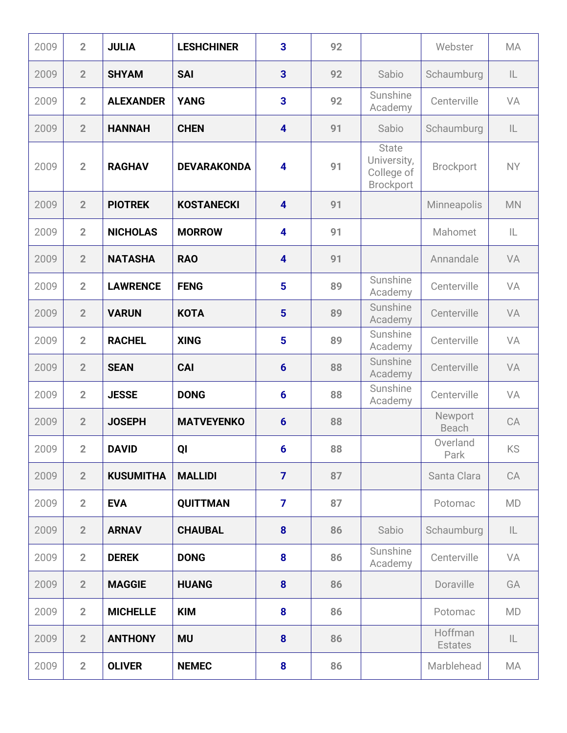| 2009 | $\overline{2}$ | <b>JULIA</b>     | <b>LESHCHINER</b>  | $\overline{\mathbf{3}}$ | 92 |                                                        | Webster                   | <b>MA</b> |
|------|----------------|------------------|--------------------|-------------------------|----|--------------------------------------------------------|---------------------------|-----------|
| 2009 | $\overline{2}$ | <b>SHYAM</b>     | <b>SAI</b>         | $\overline{3}$          | 92 | Sabio                                                  | Schaumburg                | IL.       |
| 2009 | $\overline{2}$ | <b>ALEXANDER</b> | <b>YANG</b>        | $\overline{\mathbf{3}}$ | 92 | Sunshine<br>Academy                                    | Centerville               | VA        |
| 2009 | $\overline{2}$ | <b>HANNAH</b>    | <b>CHEN</b>        | $\overline{\mathbf{4}}$ | 91 | Sabio                                                  | Schaumburg                | IL.       |
| 2009 | $\overline{2}$ | <b>RAGHAV</b>    | <b>DEVARAKONDA</b> | $\overline{\mathbf{4}}$ | 91 | <b>State</b><br>University,<br>College of<br>Brockport | Brockport                 | <b>NY</b> |
| 2009 | $\overline{2}$ | <b>PIOTREK</b>   | <b>KOSTANECKI</b>  | $\overline{\mathbf{4}}$ | 91 |                                                        | Minneapolis               | <b>MN</b> |
| 2009 | $\overline{2}$ | <b>NICHOLAS</b>  | <b>MORROW</b>      | $\overline{\mathbf{4}}$ | 91 |                                                        | Mahomet                   | IL        |
| 2009 | $\overline{2}$ | <b>NATASHA</b>   | <b>RAO</b>         | $\overline{\mathbf{4}}$ | 91 |                                                        | Annandale                 | VA        |
| 2009 | $\overline{2}$ | <b>LAWRENCE</b>  | <b>FENG</b>        | 5                       | 89 | Sunshine<br>Academy                                    | Centerville               | VA        |
| 2009 | $\overline{2}$ | <b>VARUN</b>     | <b>KOTA</b>        | 5                       | 89 | Sunshine<br>Academy                                    | Centerville               | VA        |
| 2009 | $\overline{2}$ | <b>RACHEL</b>    | <b>XING</b>        | 5                       | 89 | Sunshine<br>Academy                                    | Centerville               | VA        |
| 2009 | $\overline{2}$ | <b>SEAN</b>      | <b>CAI</b>         | $6\phantom{1}6$         | 88 | Sunshine<br>Academy                                    | Centerville               | VA        |
| 2009 | $\overline{2}$ | <b>JESSE</b>     | <b>DONG</b>        | $6\phantom{1}6$         | 88 | Sunshine<br>Academy                                    | Centerville               | VA        |
| 2009 | $\overline{2}$ | <b>JOSEPH</b>    | <b>MATVEYENKO</b>  | $6\phantom{1}$          | 88 |                                                        | Newport<br>Beach          | CA        |
| 2009 | $\overline{2}$ | <b>DAVID</b>     | QI                 | $6 \overline{6}$        | 88 |                                                        | Overland<br>Park          | KS        |
| 2009 | $\overline{2}$ | <b>KUSUMITHA</b> | <b>MALLIDI</b>     | $\overline{7}$          | 87 |                                                        | Santa Clara               | CA        |
| 2009 | $\overline{2}$ | <b>EVA</b>       | <b>QUITTMAN</b>    | $\overline{7}$          | 87 |                                                        | Potomac                   | <b>MD</b> |
| 2009 | $\overline{2}$ | <b>ARNAV</b>     | <b>CHAUBAL</b>     | 8                       | 86 | Sabio                                                  | Schaumburg                | IL        |
| 2009 | $\overline{2}$ | <b>DEREK</b>     | <b>DONG</b>        | 8                       | 86 | Sunshine<br>Academy                                    | Centerville               | VA        |
| 2009 | $\overline{2}$ | <b>MAGGIE</b>    | <b>HUANG</b>       | 8                       | 86 |                                                        | Doraville                 | GA        |
| 2009 | $\overline{2}$ | <b>MICHELLE</b>  | <b>KIM</b>         | 8                       | 86 |                                                        | Potomac                   | <b>MD</b> |
| 2009 | $\overline{2}$ | <b>ANTHONY</b>   | <b>MU</b>          | 8                       | 86 |                                                        | Hoffman<br><b>Estates</b> | IL        |
| 2009 | $\overline{2}$ | <b>OLIVER</b>    | <b>NEMEC</b>       | 8                       | 86 |                                                        | Marblehead                | MA        |